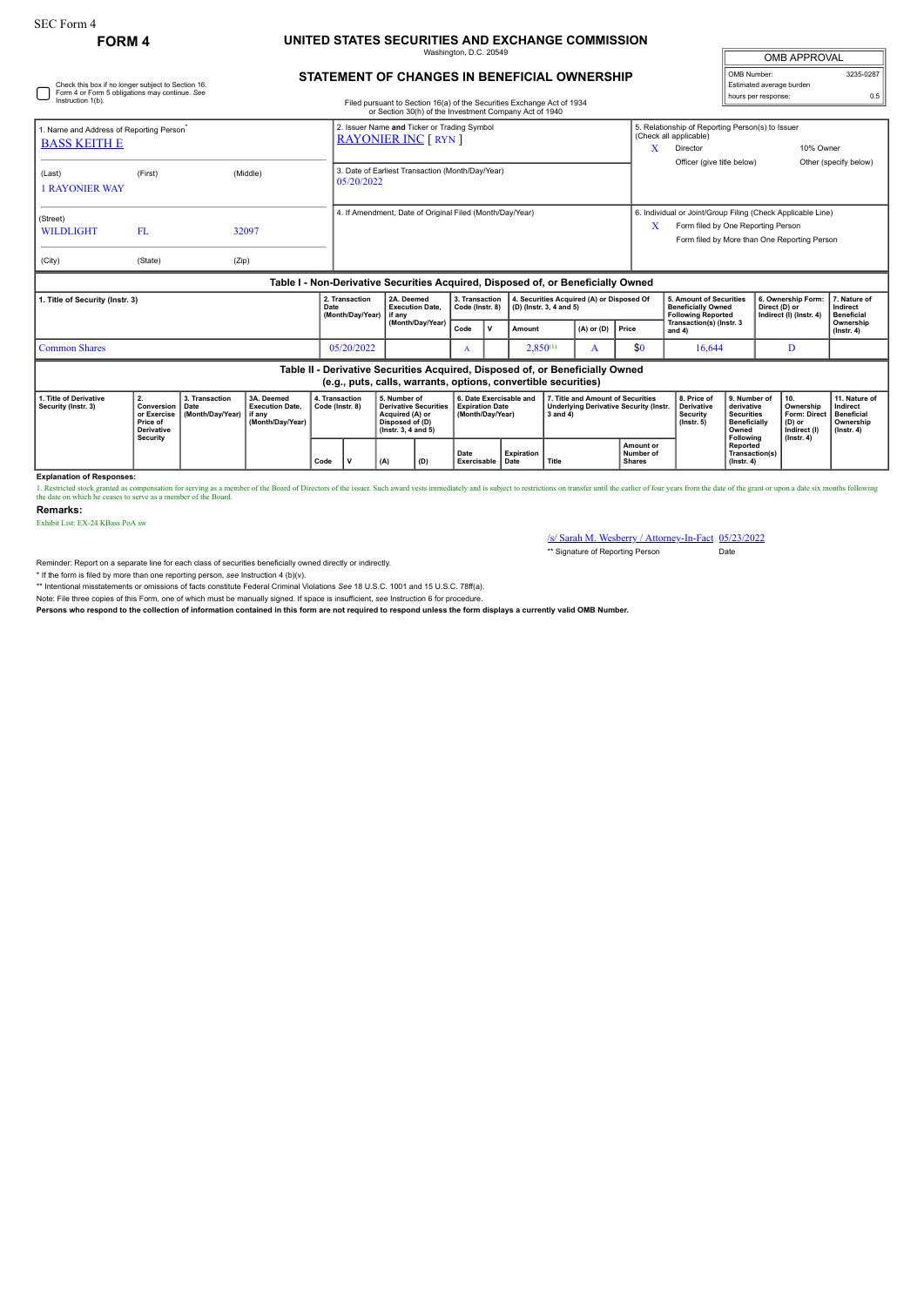## **FORM 4 UNITED STATES SECURITIES AND EXCHANGE COMMISSION** Washington, D.C. 20549

| <b>OMB APPROVAL</b>      |           |  |  |  |  |  |  |
|--------------------------|-----------|--|--|--|--|--|--|
| OMB Number:              | 3235-0287 |  |  |  |  |  |  |
| Estimated average burden |           |  |  |  |  |  |  |
| hours per response:      | 0.5       |  |  |  |  |  |  |

## **STATEMENT OF CHANGES IN BENEFICIAL OWNERSHIP**

| Check this box if no longer subject to Section 16.<br>Form 4 or Form 5 obligations may continue. See<br>Instruction 1(b). |                                                                                                                                                 |                                            |                                                                                  |                                   | Filed pursuant to Section 16(a) of the Securities Exchange Act of 1934<br>or Section 30(h) of the Investment Company Act of 1940 |                                                                                                           |                                      |                                            |                |                                                                      |                                                                                                    |     |                                         |                                                                                                                                                   |                                                                                              | Estimated average burden<br>hours per response:                |                                                                                | 0.5                                                                             |  |
|---------------------------------------------------------------------------------------------------------------------------|-------------------------------------------------------------------------------------------------------------------------------------------------|--------------------------------------------|----------------------------------------------------------------------------------|-----------------------------------|----------------------------------------------------------------------------------------------------------------------------------|-----------------------------------------------------------------------------------------------------------|--------------------------------------|--------------------------------------------|----------------|----------------------------------------------------------------------|----------------------------------------------------------------------------------------------------|-----|-----------------------------------------|---------------------------------------------------------------------------------------------------------------------------------------------------|----------------------------------------------------------------------------------------------|----------------------------------------------------------------|--------------------------------------------------------------------------------|---------------------------------------------------------------------------------|--|
| 1. Name and Address of Reporting Person <sup>®</sup><br><b>BASS KEITH E</b>                                               |                                                                                                                                                 |                                            |                                                                                  |                                   |                                                                                                                                  | 2. Issuer Name and Ticker or Trading Symbol<br><b>RAYONIER INC [ RYN ]</b>                                |                                      |                                            |                |                                                                      |                                                                                                    |     |                                         | 5. Relationship of Reporting Person(s) to Issuer<br>(Check all applicable)<br>10% Owner<br>x<br>Director                                          |                                                                                              |                                                                |                                                                                |                                                                                 |  |
| (Last)<br><b>1 RAYONIER WAY</b>                                                                                           | (First)                                                                                                                                         |                                            | (Middle)                                                                         |                                   | 3. Date of Earliest Transaction (Month/Day/Year)<br>05/20/2022                                                                   |                                                                                                           |                                      |                                            |                |                                                                      |                                                                                                    |     |                                         | Officer (give title below)<br>Other (specify below)                                                                                               |                                                                                              |                                                                |                                                                                |                                                                                 |  |
| (Street)<br><b>WILDLIGHT</b><br>(City)                                                                                    | FL<br>(State)                                                                                                                                   | (Zip)                                      | 32097                                                                            |                                   | 4. If Amendment, Date of Original Filed (Month/Day/Year)                                                                         |                                                                                                           |                                      |                                            |                |                                                                      |                                                                                                    |     | X                                       | 6. Individual or Joint/Group Filing (Check Applicable Line)<br>Form filed by One Reporting Person<br>Form filed by More than One Reporting Person |                                                                                              |                                                                |                                                                                |                                                                                 |  |
|                                                                                                                           |                                                                                                                                                 |                                            | Table I - Non-Derivative Securities Acquired, Disposed of, or Beneficially Owned |                                   |                                                                                                                                  |                                                                                                           |                                      |                                            |                |                                                                      |                                                                                                    |     |                                         |                                                                                                                                                   |                                                                                              |                                                                |                                                                                |                                                                                 |  |
| 1. Title of Security (Instr. 3)                                                                                           |                                                                                                                                                 |                                            |                                                                                  | Date                              | 2. Transaction<br>(Month/Day/Year)                                                                                               | if anv                                                                                                    | 2A. Deemed<br><b>Execution Date.</b> | 3. Transaction<br>Code (Instr. 8)          |                | 4. Securities Acquired (A) or Disposed Of<br>(D) (Instr. 3, 4 and 5) |                                                                                                    |     |                                         | 5. Amount of Securities<br><b>Beneficially Owned</b><br><b>Following Reported</b>                                                                 |                                                                                              | 6. Ownership Form:<br>Direct (D) or<br>Indirect (I) (Instr. 4) |                                                                                | 7. Nature of<br>Indirect<br><b>Beneficial</b>                                   |  |
|                                                                                                                           |                                                                                                                                                 |                                            | (Month/Day/Year)                                                                 |                                   | Code                                                                                                                             | $\mathsf{v}$                                                                                              | Amount                               |                                            | $(A)$ or $(D)$ | Price                                                                | Transaction(s) (Instr. 3<br>and $4)$                                                               |     |                                         |                                                                                                                                                   | Ownership<br>$($ Instr. 4 $)$                                                                |                                                                |                                                                                |                                                                                 |  |
| <b>Common Shares</b>                                                                                                      |                                                                                                                                                 |                                            |                                                                                  |                                   | 05/20/2022                                                                                                                       |                                                                                                           | A                                    |                                            |                | $2,850^{(1)}$<br>A                                                   |                                                                                                    | \$0 | 16.644                                  |                                                                                                                                                   | D                                                                                            |                                                                |                                                                                |                                                                                 |  |
|                                                                                                                           | Table II - Derivative Securities Acquired, Disposed of, or Beneficially Owned<br>(e.g., puts, calls, warrants, options, convertible securities) |                                            |                                                                                  |                                   |                                                                                                                                  |                                                                                                           |                                      |                                            |                |                                                                      |                                                                                                    |     |                                         |                                                                                                                                                   |                                                                                              |                                                                |                                                                                |                                                                                 |  |
| 1. Title of Derivative<br>Security (Instr. 3)                                                                             | 2.<br>Conversion<br>or Exercise<br>Price of<br><b>Derivative</b><br>Security                                                                    | 3. Transaction<br>Date<br>(Month/Day/Year) | 3A. Deemed<br><b>Execution Date.</b><br>if anv<br>(Month/Day/Year)               | 4. Transaction<br>Code (Instr. 8) |                                                                                                                                  | 5. Number of<br><b>Derivative Securities</b><br>Acquired (A) or<br>Disposed of (D)<br>(Instr. 3, 4 and 5) |                                      | <b>Expiration Date</b><br>(Month/Day/Year) |                | 6. Date Exercisable and                                              | 7. Title and Amount of Securities<br><b>Underlying Derivative Security (Instr.</b><br>$3$ and $4)$ |     |                                         | 8. Price of<br><b>Derivative</b><br><b>Security</b><br>$($ lnstr. 5 $)$                                                                           | 9. Number of<br>derivative<br><b>Securities</b><br><b>Beneficially</b><br>Owned<br>Following |                                                                | 10.<br>Ownership<br>Form: Direct<br>(D) or<br>Indirect (I)<br>$($ lnstr $, 4)$ | 11. Nature of<br>Indirect<br><b>Beneficial</b><br>Ownership<br>$($ Instr. 4 $)$ |  |
|                                                                                                                           |                                                                                                                                                 |                                            |                                                                                  | Code                              | ν                                                                                                                                | (A)                                                                                                       | (D)                                  | Date<br>Exercisable                        |                | <b>Expiration</b><br>Date                                            | Title                                                                                              |     | Amount or<br>Number of<br><b>Shares</b> |                                                                                                                                                   | Reported<br>Transaction(s)<br>$($ lnstr $, 4)$                                               |                                                                |                                                                                |                                                                                 |  |

**Explanation of Responses:**

1. Restricted stock ganted as compensation for serving as a member of the Board of Directors of the issuer. Such award vests immediately and is subject to restrictions on transfer until the earlier of four years from the d

**Remarks:**

Exhibit List: EX-24 KBass PoA sw

/s/ Sarah M. Wesberry / Attorney-In-Fact 05/23/2022 \*\* Signature of Reporting Person Date

Reminder: Report on a separate line for each class of securities beneficially owned directly or indirectly.

\* If the form is filed by more than one reporting person, *see* Instruction 4 (b)(v).

\*\* Intentional misstatements or omissions of facts constitute Federal Criminal Violations *See* 18 U.S.C. 1001 and 15 U.S.C. 78ff(a).

Note: File three copies of this Form, one of which must be manually signed. If space is insufficient, *see* Instruction 6 for procedure.

**Persons who respond to the collection of information contained in this form are not required to respond unless the form displays a currently valid OMB Number.**